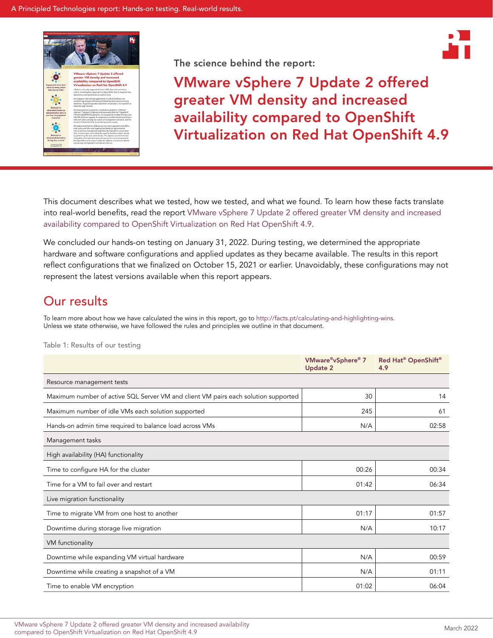



VMware vSphere 7 Update 2 offered greater VM density and increased availability compared to OpenShift Virtualization on Red Hat OpenShift 4.9

This document describes what we tested, how we tested, and what we found. To learn how these facts translate into real-world benefits, read the report [VMware vSphere 7 Update 2 offered greater VM density and increased](https://facts.pt/Nc0jS6Q)  [availability compared to OpenShift Virtualization on Red Hat OpenShift 4.9](https://facts.pt/Nc0jS6Q).

We concluded our hands-on testing on January 31, 2022. During testing, we determined the appropriate hardware and software configurations and applied updates as they became available. The results in this report reflect configurations that we finalized on October 15, 2021 or earlier. Unavoidably, these configurations may not represent the latest versions available when this report appears.

# Our results

To learn more about how we have calculated the wins in this report, go to [http://facts.pt/calculating-and-highlighting-wins](https://facts.pt/calculating-and-highlighting-wins). Unless we state otherwise, we have followed the rules and principles we outline in that document.

|                                                                                    | VMware®vSphere® 7<br><b>Update 2</b> | Red Hat® OpenShift®<br>4.9 |  |
|------------------------------------------------------------------------------------|--------------------------------------|----------------------------|--|
| Resource management tests                                                          |                                      |                            |  |
| Maximum number of active SQL Server VM and client VM pairs each solution supported | 30                                   | 14                         |  |
| Maximum number of idle VMs each solution supported                                 | 245                                  | 61                         |  |
| Hands-on admin time required to balance load across VMs                            | N/A                                  | 02:58                      |  |
| Management tasks                                                                   |                                      |                            |  |
| High availability (HA) functionality                                               |                                      |                            |  |
| Time to configure HA for the cluster                                               | 00:26                                | 00:34                      |  |
| Time for a VM to fail over and restart                                             | 01:42                                | 06:34                      |  |
| Live migration functionality                                                       |                                      |                            |  |
| Time to migrate VM from one host to another                                        | 01:17                                | 01:57                      |  |
| Downtime during storage live migration                                             | N/A                                  | 10:17                      |  |
| VM functionality                                                                   |                                      |                            |  |
| Downtime while expanding VM virtual hardware                                       | N/A                                  | 00:59                      |  |
| Downtime while creating a snapshot of a VM                                         | N/A                                  | 01:11                      |  |
| Time to enable VM encryption                                                       | 01:02                                | 06:04                      |  |

Table 1: Results of our testing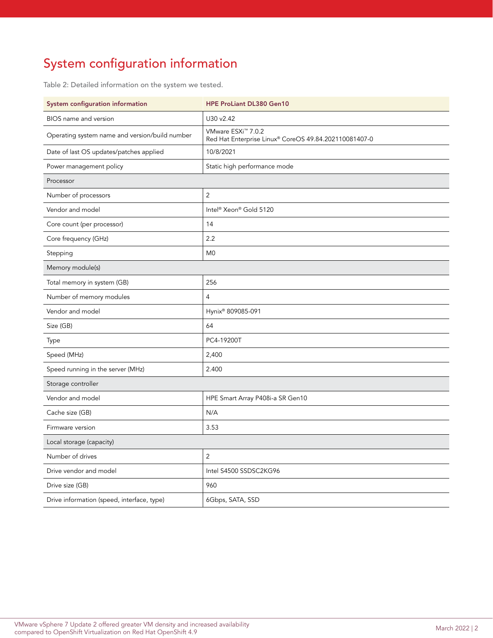# System configuration information

Table 2: Detailed information on the system we tested.

| System configuration information               | HPE ProLiant DL380 Gen10                                                                |  |  |
|------------------------------------------------|-----------------------------------------------------------------------------------------|--|--|
| BIOS name and version                          | U30 v2.42                                                                               |  |  |
| Operating system name and version/build number | VMware ESXi <sup>™</sup> 7.0.2<br>Red Hat Enterprise Linux® CoreOS 49.84.202110081407-0 |  |  |
| Date of last OS updates/patches applied        | 10/8/2021                                                                               |  |  |
| Power management policy                        | Static high performance mode                                                            |  |  |
| Processor                                      |                                                                                         |  |  |
| Number of processors                           | $\overline{2}$                                                                          |  |  |
| Vendor and model                               | Intel <sup>®</sup> Xeon® Gold 5120                                                      |  |  |
| Core count (per processor)                     | 14                                                                                      |  |  |
| Core frequency (GHz)                           | 2.2                                                                                     |  |  |
| Stepping                                       | M <sub>0</sub>                                                                          |  |  |
| Memory module(s)                               |                                                                                         |  |  |
| Total memory in system (GB)                    | 256                                                                                     |  |  |
| Number of memory modules                       | 4                                                                                       |  |  |
| Vendor and model                               | Hynix® 809085-091                                                                       |  |  |
| Size (GB)                                      | 64                                                                                      |  |  |
| Type                                           | PC4-19200T                                                                              |  |  |
| Speed (MHz)                                    | 2,400                                                                                   |  |  |
| Speed running in the server (MHz)              | 2.400                                                                                   |  |  |
| Storage controller                             |                                                                                         |  |  |
| Vendor and model                               | HPE Smart Array P408i-a SR Gen10                                                        |  |  |
| Cache size (GB)                                | N/A                                                                                     |  |  |
| Firmware version                               | 3.53                                                                                    |  |  |
| Local storage (capacity)                       |                                                                                         |  |  |
| Number of drives                               | $\overline{2}$                                                                          |  |  |
| Drive vendor and model                         | Intel S4500 SSDSC2KG96                                                                  |  |  |
| Drive size (GB)                                | 960                                                                                     |  |  |
| Drive information (speed, interface, type)     | 6Gbps, SATA, SSD                                                                        |  |  |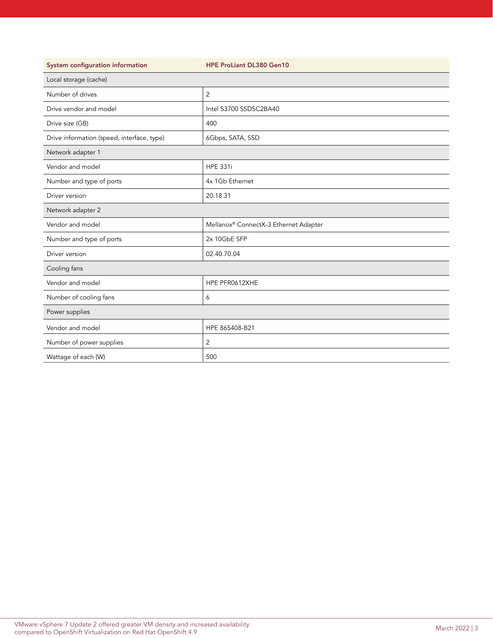| System configuration information           | <b>HPE ProLiant DL380 Gen10</b>       |  |  |
|--------------------------------------------|---------------------------------------|--|--|
| Local storage (cache)                      |                                       |  |  |
| Number of drives                           | $\overline{2}$                        |  |  |
| Drive vendor and model                     | Intel S3700 SSDSC2BA40                |  |  |
| Drive size (GB)                            | 400                                   |  |  |
| Drive information (speed, interface, type) | 6Gbps, SATA, SSD                      |  |  |
| Network adapter 1                          |                                       |  |  |
| Vendor and model                           | <b>HPE 331i</b>                       |  |  |
| Number and type of ports                   | 4x 1Gb Ethernet                       |  |  |
| Driver version                             | 20.18.31                              |  |  |
| Network adapter 2                          |                                       |  |  |
| Vendor and model                           | Mellanox® ConnectX-3 Ethernet Adapter |  |  |
| Number and type of ports                   | 2x 10GbE SFP                          |  |  |
| Driver version                             | 02.40.70.04                           |  |  |
| Cooling fans                               |                                       |  |  |
| Vendor and model                           | HPE PFR0612XHE                        |  |  |
| Number of cooling fans                     | 6                                     |  |  |
| Power supplies                             |                                       |  |  |
| Vendor and model                           | HPE 865408-B21                        |  |  |
| Number of power supplies                   | 2                                     |  |  |
| Wattage of each (W)                        | 500                                   |  |  |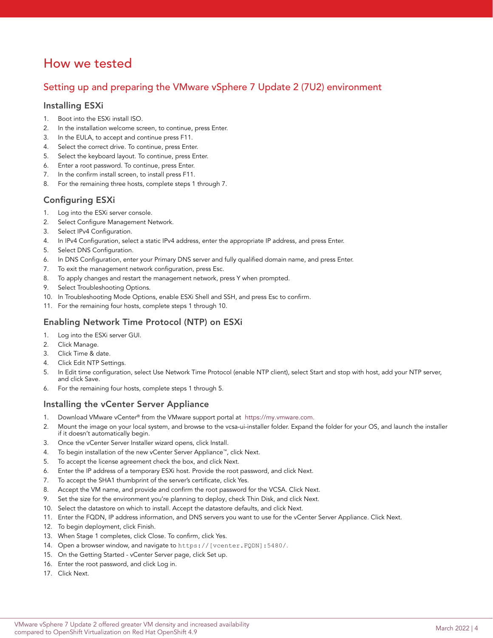# How we tested

## Setting up and preparing the VMware vSphere 7 Update 2 (7U2) environment

## Installing ESXi

- 1. Boot into the ESXi install ISO.
- 2. In the installation welcome screen, to continue, press Enter.
- 3. In the EULA, to accept and continue press F11.
- 4. Select the correct drive. To continue, press Enter.
- 5. Select the keyboard layout. To continue, press Enter.
- 6. Enter a root password. To continue, press Enter.
- 7. In the confirm install screen, to install press F11.
- 8. For the remaining three hosts, complete steps 1 through 7.

## Configuring ESXi

- 1. Log into the ESXi server console.
- 2. Select Configure Management Network.
- 3. Select IPv4 Configuration.
- 4. In IPv4 Configuration, select a static IPv4 address, enter the appropriate IP address, and press Enter.
- 5. Select DNS Configuration.
- 6. In DNS Configuration, enter your Primary DNS server and fully qualified domain name, and press Enter.
- 7. To exit the management network configuration, press Esc.
- 8. To apply changes and restart the management network, press Y when prompted.
- 9. Select Troubleshooting Options.
- 10. In Troubleshooting Mode Options, enable ESXi Shell and SSH, and press Esc to confirm.
- 11. For the remaining four hosts, complete steps 1 through 10.

## Enabling Network Time Protocol (NTP) on ESXi

- 1. Log into the ESXi server GUI.
- 2. Click Manage.
- 3. Click Time & date.
- 4. Click Edit NTP Settings.
- 5. In Edit time configuration, select Use Network Time Protocol (enable NTP client), select Start and stop with host, add your NTP server, and click Save.
- 6. For the remaining four hosts, complete steps 1 through 5.

## Installing the vCenter Server Appliance

- 1. Download VMware vCenter® from the VMware support portal at [https://my.vmware.com.](http://facts.pt/YJNFD4s)
- 2. Mount the image on your local system, and browse to the vcsa-ui-installer folder. Expand the folder for your OS, and launch the installer if it doesn't automatically begin.
- 3. Once the vCenter Server Installer wizard opens, click Install.
- 4. To begin installation of the new vCenter Server Appliance™, click Next.
- 5. To accept the license agreement check the box, and click Next.
- 6. Enter the IP address of a temporary ESXi host. Provide the root password, and click Next.
- 7. To accept the SHA1 thumbprint of the server's certificate, click Yes.
- 8. Accept the VM name, and provide and confirm the root password for the VCSA. Click Next.
- 9. Set the size for the environment you're planning to deploy, check Thin Disk, and click Next.
- 10. Select the datastore on which to install. Accept the datastore defaults, and click Next.
- 11. Enter the FQDN, IP address information, and DNS servers you want to use for the vCenter Server Appliance. Click Next.
- 12. To begin deployment, click Finish.
- 13. When Stage 1 completes, click Close. To confirm, click Yes.
- 14. Open a browser window, and navigate to https://[vcenter.FQDN]:5480/.
- 15. On the Getting Started vCenter Server page, click Set up.
- 16. Enter the root password, and click Log in.
- 17. Click Next.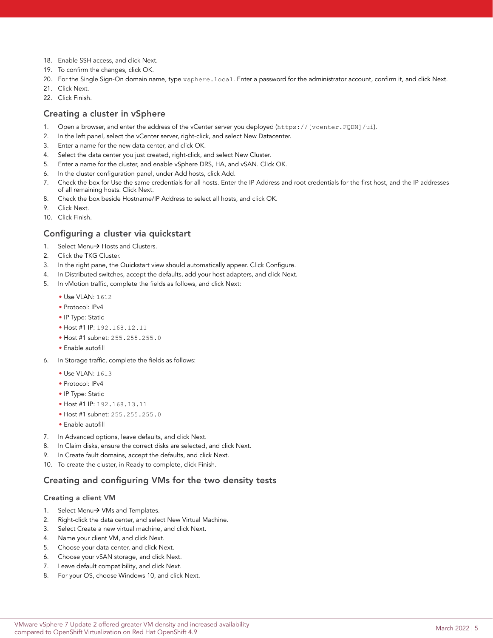- 18. Enable SSH access, and click Next.
- 19. To confirm the changes, click OK.
- 20. For the Single Sign-On domain name, type vsphere.local. Enter a password for the administrator account, confirm it, and click Next.
- 21. Click Next.
- 22. Click Finish.

## Creating a cluster in vSphere

- 1. Open a browser, and enter the address of the vCenter server you deployed (https://[vcenter.FQDN]/ui).
- 2. In the left panel, select the vCenter server, right-click, and select New Datacenter.
- 3. Enter a name for the new data center, and click OK.
- 4. Select the data center you just created, right-click, and select New Cluster.
- 5. Enter a name for the cluster, and enable vSphere DRS, HA, and vSAN. Click OK.
- 6. In the cluster configuration panel, under Add hosts, click Add.
- 7. Check the box for Use the same credentials for all hosts. Enter the IP Address and root credentials for the first host, and the IP addresses of all remaining hosts. Click Next.
- 8. Check the box beside Hostname/IP Address to select all hosts, and click OK.
- 9. Click Next.
- 10. Click Finish.

### Configuring a cluster via quickstart

- 1. Select Menu $\rightarrow$  Hosts and Clusters.
- 2. Click the TKG Cluster.
- 3. In the right pane, the Quickstart view should automatically appear. Click Configure.
- 4. In Distributed switches, accept the defaults, add your host adapters, and click Next.
- 5. In vMotion traffic, complete the fields as follows, and click Next:
	- Use VLAN: 1612
	- Protocol: IPv4
	- IP Type: Static
	- Host #1 IP: 192.168.12.11
	- Host #1 subnet: 255.255.255.0
	- Enable autofill
- 6. In Storage traffic, complete the fields as follows:
	- Use VLAN: 1613
	- Protocol: IPv4
	- IP Type: Static
	- Host #1 IP: 192.168.13.11
	- Host #1 subnet: 255.255.255.0
	- Enable autofill
- 7. In Advanced options, leave defaults, and click Next.
- 8. In Claim disks, ensure the correct disks are selected, and click Next.
- 9. In Create fault domains, accept the defaults, and click Next.
- 10. To create the cluster, in Ready to complete, click Finish.

### Creating and configuring VMs for the two density tests

### Creating a client VM

- 1. Select Menu $\rightarrow$  VMs and Templates.
- 2. Right-click the data center, and select New Virtual Machine.
- 3. Select Create a new virtual machine, and click Next.
- 4. Name your client VM, and click Next.
- 5. Choose your data center, and click Next.
- 6. Choose your vSAN storage, and click Next.
- 7. Leave default compatibility, and click Next.
- 8. For your OS, choose Windows 10, and click Next.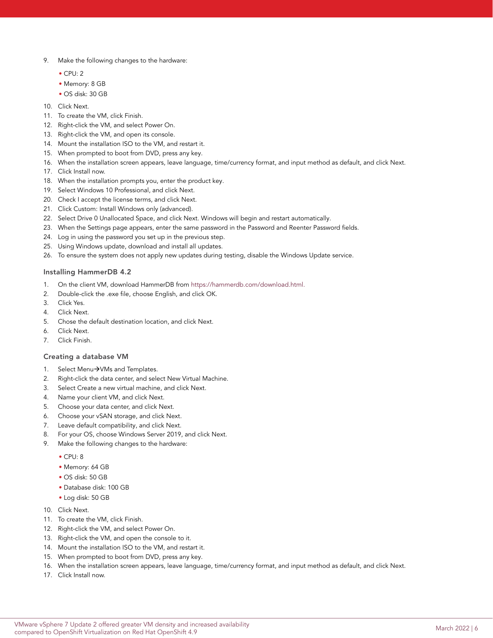- 9. Make the following changes to the hardware:
	- CPU: 2
	- Memory: 8 GB
	- OS disk: 30 GB
- 10. Click Next.
- 11. To create the VM, click Finish.
- 12. Right-click the VM, and select Power On.
- 13. Right-click the VM, and open its console.
- 14. Mount the installation ISO to the VM, and restart it.
- 15. When prompted to boot from DVD, press any key.
- 16. When the installation screen appears, leave language, time/currency format, and input method as default, and click Next.
- 17. Click Install now.
- 18. When the installation prompts you, enter the product key.
- 19. Select Windows 10 Professional, and click Next.
- 20. Check I accept the license terms, and click Next.
- 21. Click Custom: Install Windows only (advanced).
- 22. Select Drive 0 Unallocated Space, and click Next. Windows will begin and restart automatically.
- 23. When the Settings page appears, enter the same password in the Password and Reenter Password fields.
- 24. Log in using the password you set up in the previous step.
- 25. Using Windows update, download and install all updates.
- 26. To ensure the system does not apply new updates during testing, disable the Windows Update service.

### Installing HammerDB 4.2

- 1. On the client VM, download HammerDB from [https://hammerdb.com/download.html.](https://docs.vmware.com/en/VMware-vSphere/7.0/com.vmware.vsphere.vcenterhost.doc/GUID-6865D84A-C286-49C4-A4D4-D62145150242.html)
- 2. Double-click the .exe file, choose English, and click OK.
- 3. Click Yes.
- 4. Click Next.
- 5. Chose the default destination location, and click Next.
- 6. Click Next.
- 7. Click Finish.

### Creating a database VM

- 1. Select Menu $\rightarrow$ VMs and Templates.
- 2. Right-click the data center, and select New Virtual Machine.
- 3. Select Create a new virtual machine, and click Next.
- 4. Name your client VM, and click Next.
- 5. Choose your data center, and click Next.
- 6. Choose your vSAN storage, and click Next.
- 7. Leave default compatibility, and click Next.
- 8. For your OS, choose Windows Server 2019, and click Next.
- 9. Make the following changes to the hardware:
	- CPU: 8
	- Memory: 64 GB
	- OS disk: 50 GB
	- Database disk: 100 GB
	- Log disk: 50 GB
- 10. Click Next.
- 11. To create the VM, click Finish.
- 12. Right-click the VM, and select Power On.
- 13. Right-click the VM, and open the console to it.
- 14. Mount the installation ISO to the VM, and restart it.
- 15. When prompted to boot from DVD, press any key.
- 16. When the installation screen appears, leave language, time/currency format, and input method as default, and click Next.
- 17. Click Install now.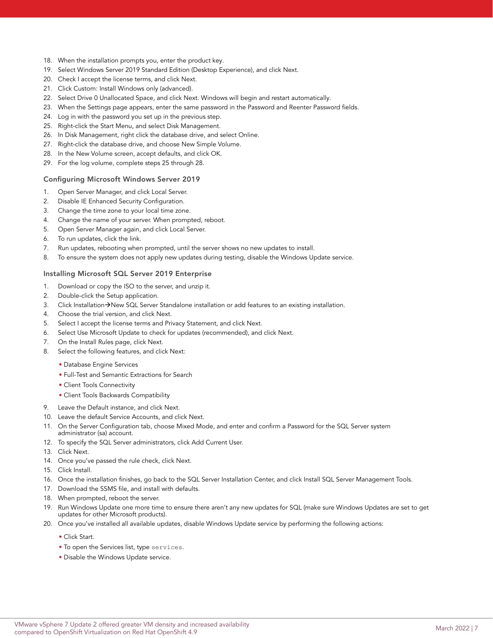- 18. When the installation prompts you, enter the product key.
- 19. Select Windows Server 2019 Standard Edition (Desktop Experience), and click Next.
- 20. Check I accept the license terms, and click Next.
- 21. Click Custom: Install Windows only (advanced).
- 22. Select Drive 0 Unallocated Space, and click Next. Windows will begin and restart automatically.
- 23. When the Settings page appears, enter the same password in the Password and Reenter Password fields.
- 24. Log in with the password you set up in the previous step.
- 25. Right-click the Start Menu, and select Disk Management.
- 26. In Disk Management, right click the database drive, and select Online.
- 27. Right-click the database drive, and choose New Simple Volume.
- 28. In the New Volume screen, accept defaults, and click OK.
- 29. For the log volume, complete steps 25 through 28.

### Configuring Microsoft Windows Server 2019

- 1. Open Server Manager, and click Local Server.
- 2. Disable IE Enhanced Security Configuration.
- 3. Change the time zone to your local time zone.
- 4. Change the name of your server. When prompted, reboot.
- 5. Open Server Manager again, and click Local Server.
- 6. To run updates, click the link.
- 7. Run updates, rebooting when prompted, until the server shows no new updates to install.
- 8. To ensure the system does not apply new updates during testing, disable the Windows Update service.

### Installing Microsoft SQL Server 2019 Enterprise

- 1. Download or copy the ISO to the server, and unzip it.
- 2. Double-click the Setup application.
- 3. Click Installation->New SQL Server Standalone installation or add features to an existing installation.
- 4. Choose the trial version, and click Next.
- 5. Select I accept the license terms and Privacy Statement, and click Next.
- 6. Select Use Microsoft Update to check for updates (recommended), and click Next.
- 7. On the Install Rules page, click Next.
- 8. Select the following features, and click Next:
	- Database Engine Services
	- Full-Test and Semantic Extractions for Search
	- Client Tools Connectivity
	- Client Tools Backwards Compatibility
- 9. Leave the Default instance, and click Next.
- 10. Leave the default Service Accounts, and click Next.
- 11. On the Server Configuration tab, choose Mixed Mode, and enter and confirm a Password for the SQL Server system administrator (sa) account.
- 12. To specify the SQL Server administrators, click Add Current User.
- 13. Click Next.
- 14. Once you've passed the rule check, click Next.
- 15. Click Install.
- 16. Once the installation finishes, go back to the SQL Server Installation Center, and click Install SQL Server Management Tools.
- 17. Download the SSMS file, and install with defaults.
- 18. When prompted, reboot the server.
- 19. Run Windows Update one more time to ensure there aren't any new updates for SQL (make sure Windows Updates are set to get updates for other Microsoft products).
- 20. Once you've installed all available updates, disable Windows Update service by performing the following actions:
	- Click Start.
	- To open the Services list, type services.
	- Disable the Windows Update service.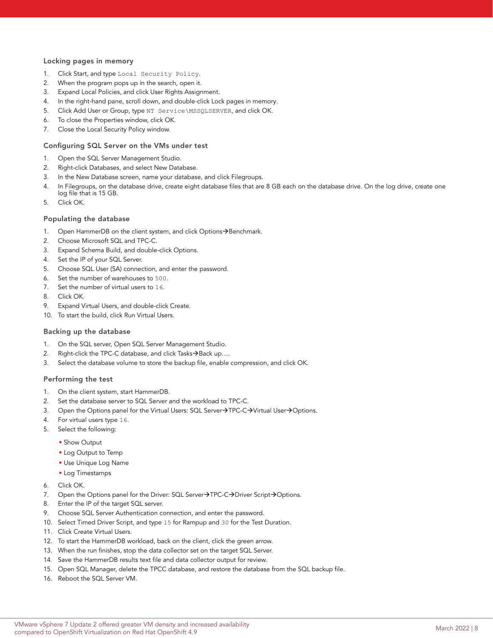### Locking pages in memory

- 1. Click Start, and type Local Security Policy.
- 2. When the program pops up in the search, open it.
- 3. Expand Local Policies, and click User Rights Assignment.
- 4. In the right-hand pane, scroll down, and double-click Lock pages in memory.
- 5. Click Add User or Group, type NT Service\MSSQLSERVER, and click OK.
- 6. To close the Properties window, click OK.
- 7. Close the Local Security Policy window.

### Configuring SQL Server on the VMs under test

- 1. Open the SQL Server Management Studio.
- 2. Right-click Databases, and select New Database.
- 3. In the New Database screen, name your database, and click Filegroups.
- 4. In Filegroups, on the database drive, create eight database files that are 8 GB each on the database drive. On the log drive, create one log file that is 15 GB.
- 5. Click OK.

### Populating the database

- 1. Open HammerDB on the client system, and click Options $\rightarrow$ Benchmark.
- 2. Choose Microsoft SQL and TPC-C.
- 3. Expand Schema Build, and double-click Options.
- 4. Set the IP of your SQL Server.
- 5. Choose SQL User (SA) connection, and enter the password.
- 6. Set the number of warehouses to 500.
- 7. Set the number of virtual users to 16.
- 8. Click OK.
- 9. Expand Virtual Users, and double-click Create.
- 10. To start the build, click Run Virtual Users.

#### Backing up the database

- 1. On the SQL server, Open SQL Server Management Studio.
- 2. Right-click the TPC-C database, and click Tasks $\rightarrow$ Back up....
- 3. Select the database volume to store the backup file, enable compression, and click OK.

### Performing the test

- 1. On the client system, start HammerDB.
- 2. Set the database server to SQL Server and the workload to TPC-C.
- 3. Open the Options panel for the Virtual Users: SQL Server $\rightarrow$ TPC-C $\rightarrow$ Virtual User $\rightarrow$ Options.
- 4. For virtual users type 16.
- 5. Select the following:
	- Show Output
	- Log Output to Temp
	- Use Unique Log Name
	- Log Timestamps
- 6. Click OK.
- 7. Open the Options panel for the Driver: SQL Server $\rightarrow$ TPC-C $\rightarrow$ Driver Script $\rightarrow$ Options.
- 8. Enter the IP of the target SQL server.
- 9. Choose SQL Server Authentication connection, and enter the password.
- 10. Select Timed Driver Script, and type 15 for Rampup and 30 for the Test Duration.
- 11. Click Create Virtual Users.
- 12. To start the HammerDB workload, back on the client, click the green arrow.
- 13. When the run finishes, stop the data collector set on the target SQL Server.
- 14. Save the HammerDB results text file and data collector output for review.
- 15. Open SQL Manager, delete the TPCC database, and restore the database from the SQL backup file.
- 16. Reboot the SQL Server VM.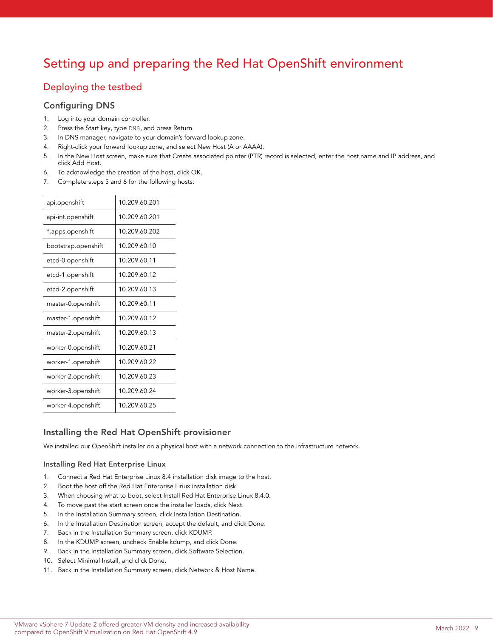# Setting up and preparing the Red Hat OpenShift environment

## Deploying the testbed

## Configuring DNS

- 1. Log into your domain controller.
- 2. Press the Start key, type DNS, and press Return.
- 3. In DNS manager, navigate to your domain's forward lookup zone.
- 4. Right-click your forward lookup zone, and select New Host (A or AAAA).
- 5. In the New Host screen, make sure that Create associated pointer (PTR) record is selected, enter the host name and IP address, and click Add Host.
- 6. To acknowledge the creation of the host, click OK.
- 7. Complete steps 5 and 6 for the following hosts:

| api.openshift       | 10.209.60.201 |
|---------------------|---------------|
| api-int.openshift   | 10.209.60.201 |
| *.apps.openshift    | 10.209.60.202 |
| bootstrap.openshift | 10.209.60.10  |
| etcd-0.openshift    | 10.209.60.11  |
| etcd-1.openshift    | 10.209.60.12  |
| etcd-2.openshift    | 10.209.60.13  |
| master-0.openshift  | 10.209.60.11  |
| master-1.openshift  | 10.209.60.12  |
| master-2.openshift  | 10.209.60.13  |
| worker-0.openshift  | 10.209.60.21  |
| worker-1.openshift  | 10.209.60.22  |
| worker-2.openshift  | 10.209.60.23  |
| worker-3.openshift  | 10.209.60.24  |
| worker-4.openshift  | 10.209.60.25  |

## Installing the Red Hat OpenShift provisioner

We installed our OpenShift installer on a physical host with a network connection to the infrastructure network.

### Installing Red Hat Enterprise Linux

- 1. Connect a Red Hat Enterprise Linux 8.4 installation disk image to the host.
- 2. Boot the host off the Red Hat Enterprise Linux installation disk.
- 3. When choosing what to boot, select Install Red Hat Enterprise Linux 8.4.0.
- 4. To move past the start screen once the installer loads, click Next.
- 5. In the Installation Summary screen, click Installation Destination.
- 6. In the Installation Destination screen, accept the default, and click Done.
- 7. Back in the Installation Summary screen, click KDUMP.
- 8. In the KDUMP screen, uncheck Enable kdump, and click Done.
- 9. Back in the Installation Summary screen, click Software Selection.
- 10. Select Minimal Install, and click Done.
- 11. Back in the Installation Summary screen, click Network & Host Name.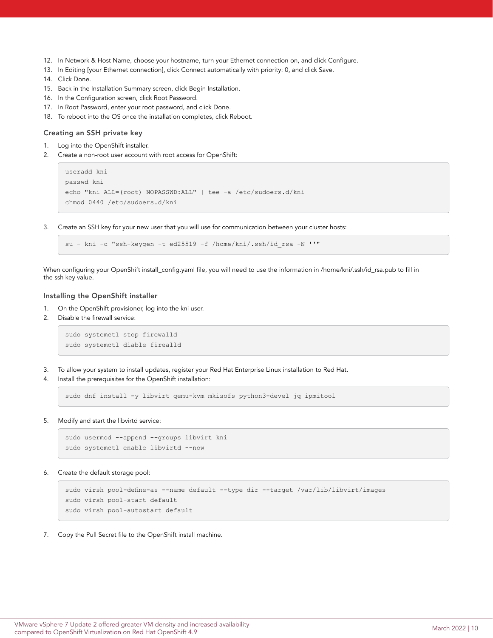- 12. In Network & Host Name, choose your hostname, turn your Ethernet connection on, and click Configure.
- 13. In Editing [your Ethernet connection], click Connect automatically with priority: 0, and click Save.
- 14. Click Done.
- 15. Back in the Installation Summary screen, click Begin Installation.
- 16. In the Configuration screen, click Root Password.
- 17. In Root Password, enter your root password, and click Done.
- 18. To reboot into the OS once the installation completes, click Reboot.

### Creating an SSH private key

- 1. Log into the OpenShift installer.
- 2. Create a non-root user account with root access for OpenShift:

```
useradd kni
passwd kni
echo "kni ALL=(root) NOPASSWD:ALL" | tee -a /etc/sudoers.d/kni
chmod 0440 /etc/sudoers.d/kni
```
3. Create an SSH key for your new user that you will use for communication between your cluster hosts:

```
su - kni -c "ssh-keygen -t ed25519 -f /home/kni/.ssh/id_rsa -N ''"
```
When configuring your OpenShift install\_config.yaml file, you will need to use the information in /home/kni/.ssh/id\_rsa.pub to fill in the ssh key value.

### Installing the OpenShift installer

- 1. On the OpenShift provisioner, log into the kni user.
- 2. Disable the firewall service:

```
sudo systemctl stop firewalld
sudo systemctl diable firealld
```
- 3. To allow your system to install updates, register your Red Hat Enterprise Linux installation to Red Hat.
- 4. Install the prerequisites for the OpenShift installation:

sudo dnf install -y libvirt qemu-kvm mkisofs python3-devel jq ipmitool

5. Modify and start the libvirtd service:

```
sudo usermod --append --groups libvirt kni
sudo systemctl enable libvirtd --now
```
6. Create the default storage pool:

```
sudo virsh pool-define-as --name default --type dir --target /var/lib/libvirt/images
sudo virsh pool-start default
sudo virsh pool-autostart default
```
7. Copy the Pull Secret file to the OpenShift install machine.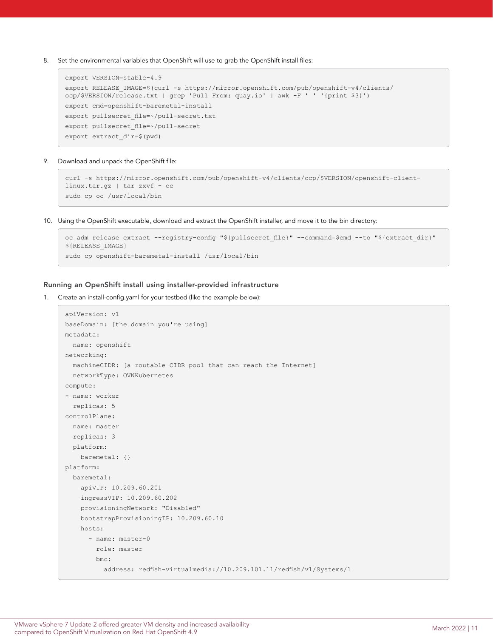8. Set the environmental variables that OpenShift will use to grab the OpenShift install files:

```
export VERSION=stable-4.9
export RELEASE_IMAGE=$(curl -s https://mirror.openshift.com/pub/openshift-v4/clients/
ocp/$VERSION/release.txt | grep 'Pull From: quay.io' | awk -F ' ' '{print $3}')
export cmd=openshift-baremetal-install
export pullsecret file=~/pull-secret.txt
export pullsecret file=~/pull-secret
export extract_dir=$(pwd)
```
9. Download and unpack the OpenShift file:

```
curl -s https://mirror.openshift.com/pub/openshift-v4/clients/ocp/$VERSION/openshift-client-
linux.tar.gz | tar zxvf - oc
sudo cp oc /usr/local/bin
```
10. Using the OpenShift executable, download and extract the OpenShift installer, and move it to the bin directory:

```
oc adm release extract --registry-config "${pullsecret file}" --command=$cmd --to "${extract dir}"
${RELEASE_IMAGE}
sudo cp openshift-baremetal-install /usr/local/bin
```
#### Running an OpenShift install using installer-provided infrastructure

1. Create an install-config.yaml for your testbed (like the example below):

```
apiVersion: v1
baseDomain: [the domain you're using] 
metadata:
  name: openshift
networking:
  machineCIDR: [a routable CIDR pool that can reach the Internet]
  networkType: OVNKubernetes
compute:
- name: worker
  replicas: 5
controlPlane:
  name: master
  replicas: 3
  platform:
    baremetal: {}
platform:
  baremetal:
     apiVIP: 10.209.60.201
     ingressVIP: 10.209.60.202
    provisioningNetwork: "Disabled"
    bootstrapProvisioningIP: 10.209.60.10
    hosts:
       - name: master-0
         role: master
        bmc:
           address: redfish-virtualmedia://10.209.101.11/redfish/v1/Systems/1
```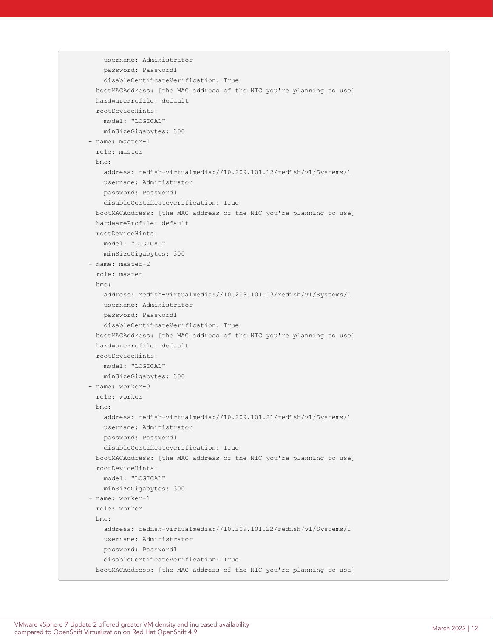```
 username: Administrator
    password: Password1
    disableCertificateVerification: True
  bootMACAddress: [the MAC address of the NIC you're planning to use] 
  hardwareProfile: default
  rootDeviceHints:
    model: "LOGICAL"
    minSizeGigabytes: 300
 - name: master-1
  role: master
  bmc:
    address: redfish-virtualmedia://10.209.101.12/redfish/v1/Systems/1
    username: Administrator
    password: Password1
    disableCertificateVerification: True
  bootMACAddress: [the MAC address of the NIC you're planning to use]
  hardwareProfile: default
  rootDeviceHints:
    model: "LOGICAL"
    minSizeGigabytes: 300
 - name: master-2
  role: master
  bmc:
    address: redfish-virtualmedia://10.209.101.13/redfish/v1/Systems/1
    username: Administrator
    password: Password1
    disableCertificateVerification: True
  bootMACAddress: [the MAC address of the NIC you're planning to use]
  hardwareProfile: default
  rootDeviceHints:
    model: "LOGICAL"
    minSizeGigabytes: 300
 - name: worker-0
  role: worker
  bmc:
    address: redfish-virtualmedia://10.209.101.21/redfish/v1/Systems/1
    username: Administrator
    password: Password1
    disableCertificateVerification: True
  bootMACAddress: [the MAC address of the NIC you're planning to use]
  rootDeviceHints:
    model: "LOGICAL"
    minSizeGigabytes: 300
 - name: worker-1
  role: worker
  bmc:
    address: redfish-virtualmedia://10.209.101.22/redfish/v1/Systems/1
    username: Administrator
    password: Password1
    disableCertificateVerification: True
  bootMACAddress: [the MAC address of the NIC you're planning to use]
```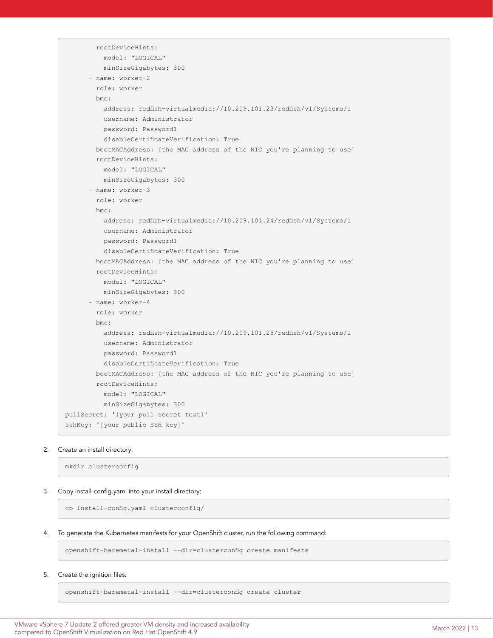```
 rootDeviceHints:
           model: "LOGICAL"
           minSizeGigabytes: 300
      - name: worker-2
         role: worker
         bmc:
           address: redfish-virtualmedia://10.209.101.23/redfish/v1/Systems/1
           username: Administrator
           password: Password1
           disableCertificateVerification: True
         bootMACAddress: [the MAC address of the NIC you're planning to use]
         rootDeviceHints:
           model: "LOGICAL"
           minSizeGigabytes: 300
       - name: worker-3
         role: worker
         bmc:
           address: redfish-virtualmedia://10.209.101.24/redfish/v1/Systems/1
           username: Administrator
           password: Password1
           disableCertificateVerification: True
         bootMACAddress: [the MAC address of the NIC you're planning to use]
         rootDeviceHints:
           model: "LOGICAL"
           minSizeGigabytes: 300
       - name: worker-4
         role: worker
         bmc:
           address: redfish-virtualmedia://10.209.101.25/redfish/v1/Systems/1
           username: Administrator
           password: Password1
           disableCertificateVerification: True
         bootMACAddress: [the MAC address of the NIC you're planning to use]
         rootDeviceHints:
           model: "LOGICAL"
           minSizeGigabytes: 300
pullSecret: '[your pull secret text]'
sshKey: '[your public SSH key]'
```
### 2. Create an install directory:

mkdir clusterconfig

### 3. Copy install-config.yaml into your install directory:

cp install-config.yaml clusterconfig/

4. To generate the Kubernetes manifests for your OpenShift cluster, run the following command:

openshift-baremetal-install --dir=clusterconfig create manifests

5. Create the ignition files:

openshift-baremetal-install --dir=clusterconfig create cluster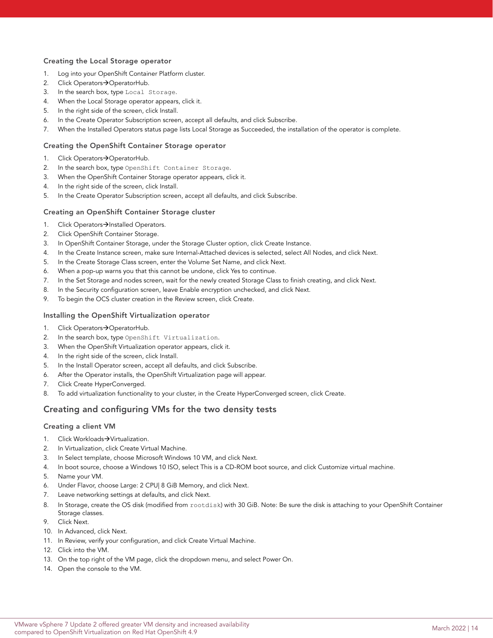### Creating the Local Storage operator

- 1. Log into your OpenShift Container Platform cluster.
- 2. Click Operators->OperatorHub.
- 3. In the search box, type Local Storage.
- 4. When the Local Storage operator appears, click it.
- 5. In the right side of the screen, click Install.
- 6. In the Create Operator Subscription screen, accept all defaults, and click Subscribe.
- 7. When the Installed Operators status page lists Local Storage as Succeeded, the installation of the operator is complete.

### Creating the OpenShift Container Storage operator

- 1. Click Operators->OperatorHub.
- 2. In the search box, type OpenShift Container Storage.
- 3. When the OpenShift Container Storage operator appears, click it.
- 4. In the right side of the screen, click Install.
- 5. In the Create Operator Subscription screen, accept all defaults, and click Subscribe.

### Creating an OpenShift Container Storage cluster

- 1. Click Operators->Installed Operators.
- 2. Click OpenShift Container Storage.
- 3. In OpenShift Container Storage, under the Storage Cluster option, click Create Instance.
- 4. In the Create Instance screen, make sure Internal-Attached devices is selected, select All Nodes, and click Next.
- 5. In the Create Storage Class screen, enter the Volume Set Name, and click Next.
- 6. When a pop-up warns you that this cannot be undone, click Yes to continue.
- 7. In the Set Storage and nodes screen, wait for the newly created Storage Class to finish creating, and click Next.
- 8. In the Security configuration screen, leave Enable encryption unchecked, and click Next.
- 9. To begin the OCS cluster creation in the Review screen, click Create.

### Installing the OpenShift Virtualization operator

- 1. Click Operators->OperatorHub.
- 2. In the search box, type OpenShift Virtualization.
- 3. When the OpenShift Virtualization operator appears, click it.
- 4. In the right side of the screen, click Install.
- 5. In the Install Operator screen, accept all defaults, and click Subscribe.
- 6. After the Operator installs, the OpenShift Virtualization page will appear.
- 7. Click Create HyperConverged.
- 8. To add virtualization functionality to your cluster, in the Create HyperConverged screen, click Create.

## Creating and configuring VMs for the two density tests

### Creating a client VM

- 1. Click Workloads->Virtualization.
- 2. In Virtualization, click Create Virtual Machine.
- 3. In Select template, choose Microsoft Windows 10 VM, and click Next.
- 4. In boot source, choose a Windows 10 ISO, select This is a CD-ROM boot source, and click Customize virtual machine.
- 5. Name your VM.
- 6. Under Flavor, choose Large: 2 CPU| 8 GiB Memory, and click Next.
- 7. Leave networking settings at defaults, and click Next.
- 8. In Storage, create the OS disk (modified from rootdisk) with 30 GiB. Note: Be sure the disk is attaching to your OpenShift Container Storage classes.
- 9. Click Next.
- 10. In Advanced, click Next.
- 11. In Review, verify your configuration, and click Create Virtual Machine.
- 12. Click into the VM.
- 13. On the top right of the VM page, click the dropdown menu, and select Power On.
- 14. Open the console to the VM.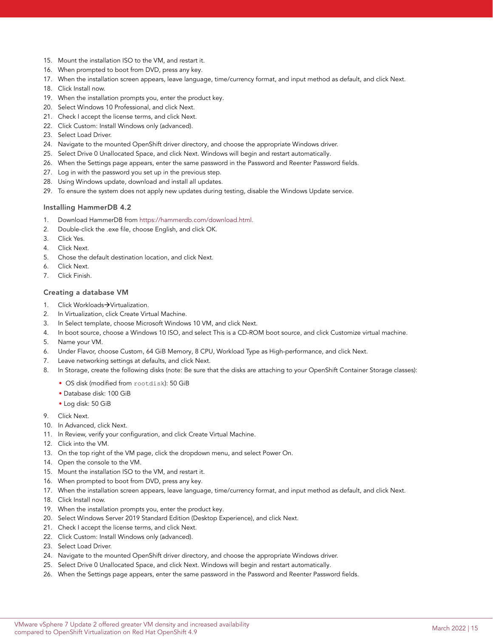- 15. Mount the installation ISO to the VM, and restart it.
- 16. When prompted to boot from DVD, press any key.
- 17. When the installation screen appears, leave language, time/currency format, and input method as default, and click Next.
- 18. Click Install now.
- 19. When the installation prompts you, enter the product key.
- 20. Select Windows 10 Professional, and click Next.
- 21. Check I accept the license terms, and click Next.
- 22. Click Custom: Install Windows only (advanced).
- 23. Select Load Driver.
- 24. Navigate to the mounted OpenShift driver directory, and choose the appropriate Windows driver.
- 25. Select Drive 0 Unallocated Space, and click Next. Windows will begin and restart automatically.
- 26. When the Settings page appears, enter the same password in the Password and Reenter Password fields.
- 27. Log in with the password you set up in the previous step.
- 28. Using Windows update, download and install all updates.
- 29. To ensure the system does not apply new updates during testing, disable the Windows Update service.

### Installing HammerDB 4.2

- 1. Download HammerDB from [https://hammerdb.com/download.html.](https://docs.vmware.com/en/VMware-vSphere/7.0/com.vmware.vsphere.vcenterhost.doc/GUID-6865D84A-C286-49C4-A4D4-D62145150242.html)
- 2. Double-click the .exe file, choose English, and click OK.
- 3. Click Yes.
- 4. Click Next.
- 5. Chose the default destination location, and click Next.
- 6. Click Next.
- 7. Click Finish.

### Creating a database VM

- 1. Click Workloads->Virtualization.
- 2. In Virtualization, click Create Virtual Machine.
- 3. In Select template, choose Microsoft Windows 10 VM, and click Next.
- 4. In boot source, choose a Windows 10 ISO, and select This is a CD-ROM boot source, and click Customize virtual machine.
- 5. Name your VM.
- 6. Under Flavor, choose Custom, 64 GiB Memory, 8 CPU, Workload Type as High-performance, and click Next.
- 7. Leave networking settings at defaults, and click Next.
- 8. In Storage, create the following disks (note: Be sure that the disks are attaching to your OpenShift Container Storage classes):
	- OS disk (modified from rootdisk): 50 GiB
	- Database disk: 100 GiB
	- Log disk: 50 GiB
- 9. Click Next.
- 10. In Advanced, click Next.
- 11. In Review, verify your configuration, and click Create Virtual Machine.
- 12. Click into the VM.
- 13. On the top right of the VM page, click the dropdown menu, and select Power On.
- 14. Open the console to the VM.
- 15. Mount the installation ISO to the VM, and restart it.
- 16. When prompted to boot from DVD, press any key.
- 17. When the installation screen appears, leave language, time/currency format, and input method as default, and click Next.
- 18. Click Install now.
- 19. When the installation prompts you, enter the product key.
- 20. Select Windows Server 2019 Standard Edition (Desktop Experience), and click Next.
- 21. Check I accept the license terms, and click Next.
- 22. Click Custom: Install Windows only (advanced).
- 23. Select Load Driver.
- 24. Navigate to the mounted OpenShift driver directory, and choose the appropriate Windows driver.
- 25. Select Drive 0 Unallocated Space, and click Next. Windows will begin and restart automatically.
- 26. When the Settings page appears, enter the same password in the Password and Reenter Password fields.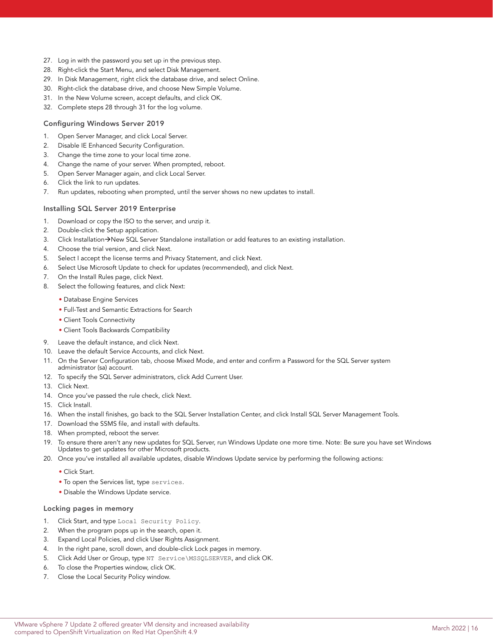- 27. Log in with the password you set up in the previous step.
- 28. Right-click the Start Menu, and select Disk Management.
- 29. In Disk Management, right click the database drive, and select Online.
- 30. Right-click the database drive, and choose New Simple Volume.
- 31. In the New Volume screen, accept defaults, and click OK.
- 32. Complete steps 28 through 31 for the log volume.

### Configuring Windows Server 2019

- 1. Open Server Manager, and click Local Server.
- 2. Disable IE Enhanced Security Configuration.
- 3. Change the time zone to your local time zone.
- 4. Change the name of your server. When prompted, reboot.
- 5. Open Server Manager again, and click Local Server.
- 6. Click the link to run updates.
- 7. Run updates, rebooting when prompted, until the server shows no new updates to install.

### Installing SQL Server 2019 Enterprise

- 1. Download or copy the ISO to the server, and unzip it.
- 2. Double-click the Setup application.
- 3. Click Installation->New SQL Server Standalone installation or add features to an existing installation.
- 4. Choose the trial version, and click Next.
- 5. Select I accept the license terms and Privacy Statement, and click Next.
- 6. Select Use Microsoft Update to check for updates (recommended), and click Next.
- 7. On the Install Rules page, click Next.
- 8. Select the following features, and click Next:
	- Database Engine Services
	- Full-Test and Semantic Extractions for Search
	- Client Tools Connectivity
	- Client Tools Backwards Compatibility
- 9. Leave the default instance, and click Next.
- 10. Leave the default Service Accounts, and click Next.
- 11. On the Server Configuration tab, choose Mixed Mode, and enter and confirm a Password for the SQL Server system administrator (sa) account.
- 12. To specify the SQL Server administrators, click Add Current User.
- 13. Click Next.
- 14. Once you've passed the rule check, click Next.
- 15. Click Install.
- 16. When the install finishes, go back to the SQL Server Installation Center, and click Install SQL Server Management Tools.
- 17. Download the SSMS file, and install with defaults.
- 18. When prompted, reboot the server.
- 19. To ensure there aren't any new updates for SQL Server, run Windows Update one more time. Note: Be sure you have set Windows Updates to get updates for other Microsoft products.
- 20. Once you've installed all available updates, disable Windows Update service by performing the following actions:
	- Click Start.
	- To open the Services list, type services.
	- Disable the Windows Update service.

### Locking pages in memory

- 1. Click Start, and type Local Security Policy.
- 2. When the program pops up in the search, open it.
- 3. Expand Local Policies, and click User Rights Assignment.
- 4. In the right pane, scroll down, and double-click Lock pages in memory.
- 5. Click Add User or Group, type NT Service\MSSQLSERVER, and click OK.
- 6. To close the Properties window, click OK.
- 7. Close the Local Security Policy window.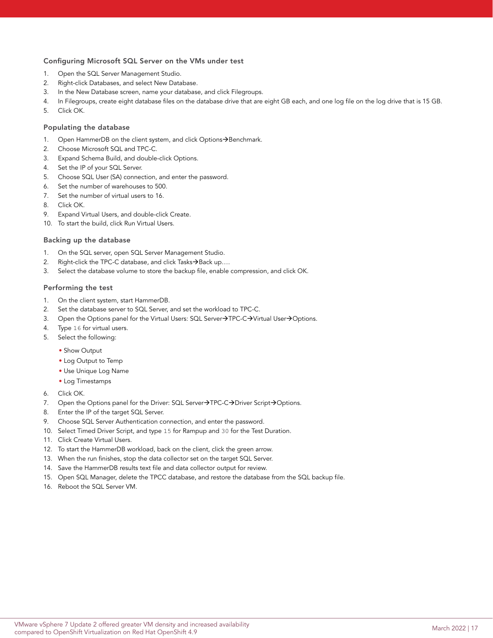### Configuring Microsoft SQL Server on the VMs under test

- 1. Open the SQL Server Management Studio.
- 2. Right-click Databases, and select New Database.
- 3. In the New Database screen, name your database, and click Filegroups.
- 4. In Filegroups, create eight database files on the database drive that are eight GB each, and one log file on the log drive that is 15 GB.
- 5. Click OK.

### Populating the database

- 1. Open HammerDB on the client system, and click Options->Benchmark.
- 2. Choose Microsoft SQL and TPC-C.
- 3. Expand Schema Build, and double-click Options.
- 4. Set the IP of your SQL Server.
- 5. Choose SQL User (SA) connection, and enter the password.
- 6. Set the number of warehouses to 500.
- 7. Set the number of virtual users to 16.
- 8. Click OK.
- 9. Expand Virtual Users, and double-click Create.
- 10. To start the build, click Run Virtual Users.

#### Backing up the database

- 1. On the SQL server, open SQL Server Management Studio.
- 2. Right-click the TPC-C database, and click Tasks $\rightarrow$ Back up....
- 3. Select the database volume to store the backup file, enable compression, and click OK.

### Performing the test

- 1. On the client system, start HammerDB.
- 2. Set the database server to SQL Server, and set the workload to TPC-C.
- 3. Open the Options panel for the Virtual Users: SQL Server->TPC-C->Virtual User->Options.
- 4. Type 16 for virtual users.
- 5. Select the following:
	- Show Output
	- Log Output to Temp
	- Use Unique Log Name
	- Log Timestamps
- 6. Click OK.
- 7. Open the Options panel for the Driver: SQL Server->TPC-C->Driver Script->Options.
- 8. Enter the IP of the target SQL Server.
- 9. Choose SQL Server Authentication connection, and enter the password.
- 10. Select Timed Driver Script, and type 15 for Rampup and 30 for the Test Duration.
- 11. Click Create Virtual Users.
- 12. To start the HammerDB workload, back on the client, click the green arrow.
- 13. When the run finishes, stop the data collector set on the target SQL Server.
- 14. Save the HammerDB results text file and data collector output for review.
- 15. Open SQL Manager, delete the TPCC database, and restore the database from the SQL backup file.
- 16. Reboot the SQL Server VM.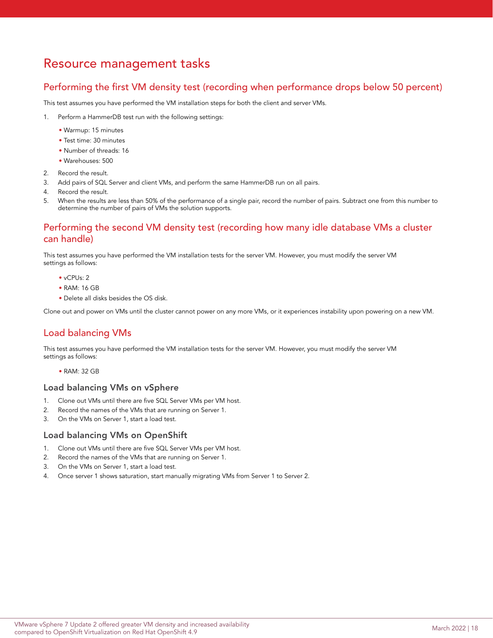## Resource management tasks

## Performing the first VM density test (recording when performance drops below 50 percent)

This test assumes you have performed the VM installation steps for both the client and server VMs.

- 1. Perform a HammerDB test run with the following settings:
	- Warmup: 15 minutes
	- Test time: 30 minutes
	- Number of threads: 16
	- Warehouses: 500
- 2. Record the result.
- 3. Add pairs of SQL Server and client VMs, and perform the same HammerDB run on all pairs.
- 4. Record the result.
- 5. When the results are less than 50% of the performance of a single pair, record the number of pairs. Subtract one from this number to determine the number of pairs of VMs the solution supports.

## Performing the second VM density test (recording how many idle database VMs a cluster can handle)

This test assumes you have performed the VM installation tests for the server VM. However, you must modify the server VM settings as follows:

- vCPUs: 2
- RAM: 16 GB
- Delete all disks besides the OS disk.

Clone out and power on VMs until the cluster cannot power on any more VMs, or it experiences instability upon powering on a new VM.

## Load balancing VMs

This test assumes you have performed the VM installation tests for the server VM. However, you must modify the server VM settings as follows:

• RAM: 32 GB

### Load balancing VMs on vSphere

- 1. Clone out VMs until there are five SQL Server VMs per VM host.
- 2. Record the names of the VMs that are running on Server 1.
- 3. On the VMs on Server 1, start a load test.

## Load balancing VMs on OpenShift

- 1. Clone out VMs until there are five SQL Server VMs per VM host.
- 2. Record the names of the VMs that are running on Server 1.
- 3. On the VMs on Server 1, start a load test.
- 4. Once server 1 shows saturation, start manually migrating VMs from Server 1 to Server 2.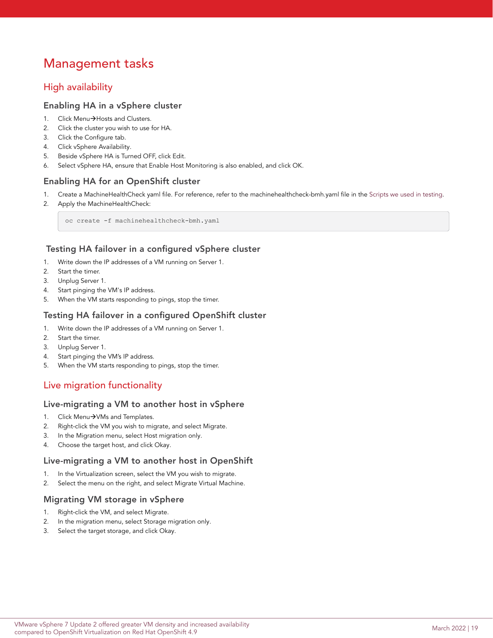# Management tasks

## High availability

## Enabling HA in a vSphere cluster

- 1. Click Menu->Hosts and Clusters.
- 2. Click the cluster you wish to use for HA.
- 3. Click the Configure tab.
- 4. Click vSphere Availability.
- 5. Beside vSphere HA is Turned OFF, click Edit.
- 6. Select vSphere HA, ensure that Enable Host Monitoring is also enabled, and click OK.

## Enabling HA for an OpenShift cluster

- 1. Create a MachineHealthCheck yaml file. For reference, refer to the machinehealthcheck-bmh.yaml file in the [Scripts we used in testing.](#page-23-0)
- 2. Apply the MachineHealthCheck:

oc create -f machinehealthcheck-bmh.yaml

## Testing HA failover in a configured vSphere cluster

- 1. Write down the IP addresses of a VM running on Server 1.
- 2. Start the timer.
- 3. Unplug Server 1.
- 4. Start pinging the VM's IP address.
- 5. When the VM starts responding to pings, stop the timer.

## Testing HA failover in a configured OpenShift cluster

- 1. Write down the IP addresses of a VM running on Server 1.
- 2. Start the timer.
- 3. Unplug Server 1.
- 4. Start pinging the VM's IP address.
- 5. When the VM starts responding to pings, stop the timer.

## Live migration functionality

## Live-migrating a VM to another host in vSphere

- 1. Click Menu $\rightarrow$ VMs and Templates.
- 2. Right-click the VM you wish to migrate, and select Migrate.
- 3. In the Migration menu, select Host migration only.
- 4. Choose the target host, and click Okay.

## Live-migrating a VM to another host in OpenShift

- 1. In the Virtualization screen, select the VM you wish to migrate.
- 2. Select the menu on the right, and select Migrate Virtual Machine.

## Migrating VM storage in vSphere

- 1. Right-click the VM, and select Migrate.
- 2. In the migration menu, select Storage migration only.
- 3. Select the target storage, and click Okay.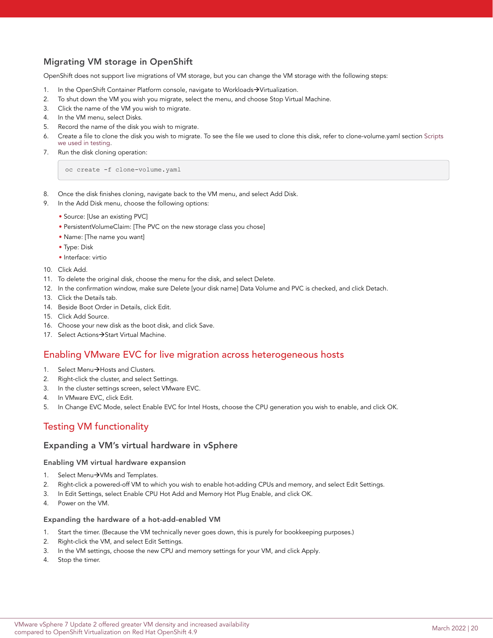## Migrating VM storage in OpenShift

OpenShift does not support live migrations of VM storage, but you can change the VM storage with the following steps:

- 1. In the OpenShift Container Platform console, navigate to Workloads->Virtualization.
- 2. To shut down the VM you wish you migrate, select the menu, and choose Stop Virtual Machine.
- 3. Click the name of the VM you wish to migrate.
- 4. In the VM menu, select Disks.
- 5. Record the name of the disk you wish to migrate.
- 6. Create a file to clone the disk you wish to migrate. To see the file we used to clone this disk, refer to clone-volume.yaml section [Scripts](#page-23-0)  [we used in testing.](#page-23-0)
- 7. Run the disk cloning operation:

oc create -f clone-volume.yaml

- 8. Once the disk finishes cloning, navigate back to the VM menu, and select Add Disk.
- 9. In the Add Disk menu, choose the following options:
	- Source: [Use an existing PVC]
	- PersistentVolumeClaim: [The PVC on the new storage class you chose]
	- Name: [The name you want]
	- Type: Disk
	- Interface: virtio
- 10. Click Add.
- 11. To delete the original disk, choose the menu for the disk, and select Delete.
- 12. In the confirmation window, make sure Delete [your disk name] Data Volume and PVC is checked, and click Detach.
- 13. Click the Details tab.
- 14. Beside Boot Order in Details, click Edit.
- 15. Click Add Source.
- 16. Choose your new disk as the boot disk, and click Save.
- 17. Select Actions > Start Virtual Machine.

## Enabling VMware EVC for live migration across heterogeneous hosts

- 1. Select Menu $\rightarrow$ Hosts and Clusters.
- 2. Right-click the cluster, and select Settings.
- 3. In the cluster settings screen, select VMware EVC.
- 4. In VMware EVC, click Edit.
- 5. In Change EVC Mode, select Enable EVC for Intel Hosts, choose the CPU generation you wish to enable, and click OK.

## Testing VM functionality

### Expanding a VM's virtual hardware in vSphere

### Enabling VM virtual hardware expansion

- 1. Select Menu->VMs and Templates.
- 2. Right-click a powered-off VM to which you wish to enable hot-adding CPUs and memory, and select Edit Settings.
- 3. In Edit Settings, select Enable CPU Hot Add and Memory Hot Plug Enable, and click OK.
- 4. Power on the VM.

### Expanding the hardware of a hot-add-enabled VM

- 1. Start the timer. (Because the VM technically never goes down, this is purely for bookkeeping purposes.)
- 2. Right-click the VM, and select Edit Settings.
- 3. In the VM settings, choose the new CPU and memory settings for your VM, and click Apply.
- 4. Stop the timer.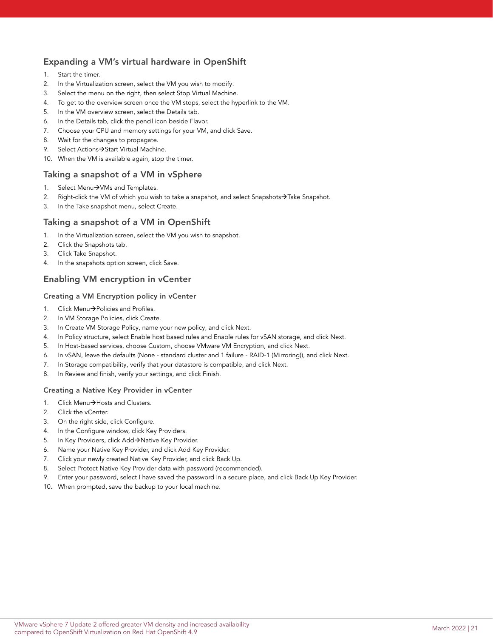## Expanding a VM's virtual hardware in OpenShift

- 1. Start the timer.
- 2. In the Virtualization screen, select the VM you wish to modify.
- 3. Select the menu on the right, then select Stop Virtual Machine.
- 4. To get to the overview screen once the VM stops, select the hyperlink to the VM.
- 5. In the VM overview screen, select the Details tab.
- 6. In the Details tab, click the pencil icon beside Flavor.
- 7. Choose your CPU and memory settings for your VM, and click Save.
- 8. Wait for the changes to propagate.
- 9. Select Actions > Start Virtual Machine.
- 10. When the VM is available again, stop the timer.

## Taking a snapshot of a VM in vSphere

- 1. Select Menu $\rightarrow$ VMs and Templates.
- 2. Right-click the VM of which you wish to take a snapshot, and select Snapshots $\rightarrow$ Take Snapshot.
- 3. In the Take snapshot menu, select Create.

## Taking a snapshot of a VM in OpenShift

- 1. In the Virtualization screen, select the VM you wish to snapshot.
- 2. Click the Snapshots tab.
- 3. Click Take Snapshot.
- 4. In the snapshots option screen, click Save.

## Enabling VM encryption in vCenter

### Creating a VM Encryption policy in vCenter

- 1. Click Menu→Policies and Profiles.
- 2. In VM Storage Policies, click Create.
- 3. In Create VM Storage Policy, name your new policy, and click Next.
- 4. In Policy structure, select Enable host based rules and Enable rules for vSAN storage, and click Next.
- 5. In Host-based services, choose Custom, choose VMware VM Encryption, and click Next.
- 6. In vSAN, leave the defaults (None standard cluster and 1 failure RAID-1 (Mirroring)), and click Next.
- 7. In Storage compatibility, verify that your datastore is compatible, and click Next.
- 8. In Review and finish, verify your settings, and click Finish.

### Creating a Native Key Provider in vCenter

- 1. Click Menu->Hosts and Clusters.
- 2. Click the vCenter.
- 3. On the right side, click Configure.
- 4. In the Configure window, click Key Providers.
- 5. In Key Providers, click Add->Native Key Provider.
- 6. Name your Native Key Provider, and click Add Key Provider.
- 7. Click your newly created Native Key Provider, and click Back Up.
- 8. Select Protect Native Key Provider data with password (recommended).
- 9. Enter your password, select I have saved the password in a secure place, and click Back Up Key Provider.
- 10. When prompted, save the backup to your local machine.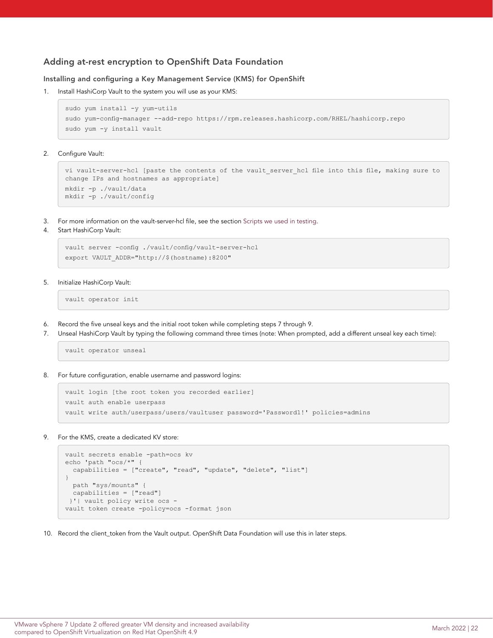## Adding at-rest encryption to OpenShift Data Foundation

### Installing and configuring a Key Management Service (KMS) for OpenShift

1. Install HashiCorp Vault to the system you will use as your KMS:

```
sudo yum install -y yum-utils
sudo yum-config-manager --add-repo https://rpm.releases.hashicorp.com/RHEL/hashicorp.repo
sudo yum -y install vault
```
2. Configure Vault:

```
vi vault-server-hcl [paste the contents of the vault_server_hcl file into this file, making sure to 
change IPs and hostnames as appropriate]
mkdir -p ./vault/data
mkdir -p ./vault/config
```
- 3. For more information on the vault-server-hcl file, see the section [Scripts we used in testing](#page-23-0).
- 4. Start HashiCorp Vault:

```
vault server -config ./vault/config/vault-server-hcl
export VAULT_ADDR="http://$(hostname):8200"
```
5. Initialize HashiCorp Vault:

vault operator init

- 6. Record the five unseal keys and the initial root token while completing steps 7 through 9.
- 7. Unseal HashiCorp Vault by typing the following command three times (note: When prompted, add a different unseal key each time):

vault operator unseal

8. For future configuration, enable username and password logins:

```
vault login [the root token you recorded earlier]
vault auth enable userpass
vault write auth/userpass/users/vaultuser password='Password1!' policies=admins
```
9. For the KMS, create a dedicated KV store:

```
vault secrets enable -path=ocs kv
echo 'path "ocs/*" {
  capabilities = ["create", "read", "update", "delete", "list"]
}
  path "sys/mounts" {
  capabilities = ["read"]
 }'| vault policy write ocs -
vault token create -policy=ocs -format json
```
10. Record the client\_token from the Vault output. OpenShift Data Foundation will use this in later steps.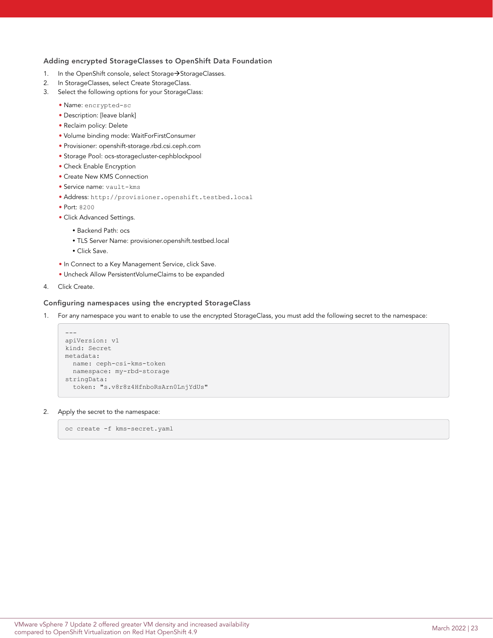### Adding encrypted StorageClasses to OpenShift Data Foundation

- 1. In the OpenShift console, select Storage->StorageClasses.
- 2. In StorageClasses, select Create StorageClass.
- 3. Select the following options for your StorageClass:
	- Name: encrypted-sc
	- Description: [leave blank]
	- Reclaim policy: Delete
	- Volume binding mode: WaitForFirstConsumer
	- Provisioner: openshift-storage.rbd.csi.ceph.com
	- Storage Pool: ocs-storagecluster-cephblockpool
	- Check Enable Encryption
	- Create New KMS Connection
	- Service name: vault-kms
	- Address: http://provisioner.openshift.testbed.local
	- Port: 8200
	- Click Advanced Settings.
		- Backend Path: ocs
		- TLS Server Name: provisioner.openshift.testbed.local
		- Click Save.
	- In Connect to a Key Management Service, click Save.
	- Uncheck Allow PersistentVolumeClaims to be expanded
- 4. Click Create.

### Configuring namespaces using the encrypted StorageClass

1. For any namespace you want to enable to use the encrypted StorageClass, you must add the following secret to the namespace:

```
---
apiVersion: v1
kind: Secret
metadata:
  name: ceph-csi-kms-token
  namespace: my-rbd-storage
stringData:
   token: "s.v8r8z4HfnboRsArn0LnjYdUs"
```
#### 2. Apply the secret to the namespace:

oc create -f kms-secret.yaml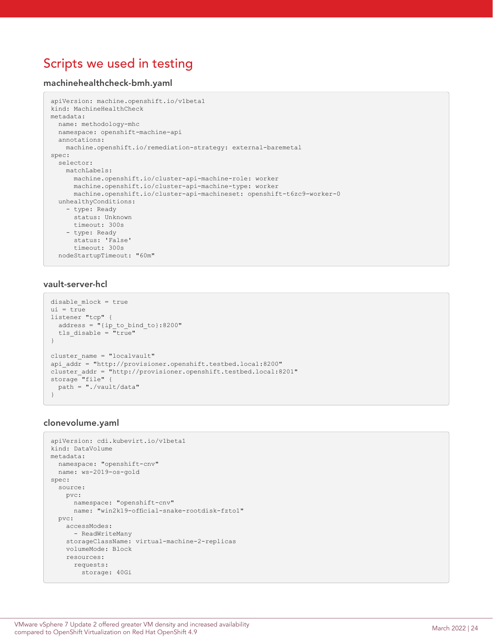# <span id="page-23-0"></span>Scripts we used in testing

### machinehealthcheck-bmh.yaml

```
apiVersion: machine.openshift.io/v1beta1
kind: MachineHealthCheck
metadata:
  name: methodology-mhc
   namespace: openshift-machine-api
   annotations:
    machine.openshift.io/remediation-strategy: external-baremetal
spec:
   selector:
    matchLabels:
       machine.openshift.io/cluster-api-machine-role: worker
      machine.openshift.io/cluster-api-machine-type: worker
      machine.openshift.io/cluster-api-machineset: openshift-t6zc9-worker-0
   unhealthyConditions:
     - type: Ready
      status: Unknown
       timeout: 300s
     - type: Ready
      status: 'False'
      timeout: 300s
   nodeStartupTimeout: "60m"
```
## vault-server-hcl

```
disable_mlock = true
ui = true
listener "tcp" {
  address = "{ip to bind to}:8200"
  tls disable = \overline{''}true"
}
cluster name = "localvault"
api_addr = "http://provisioner.openshift.testbed.local:8200"
cluster_addr = "http://provisioner.openshift.testbed.local:8201"
storage "file" {
   path = "./vault/data"
}
```
## clonevolume.yaml

```
apiVersion: cdi.kubevirt.io/v1beta1
kind: DataVolume
metadata:
   namespace: "openshift-cnv"
   name: ws-2019-os-gold
spec:
   source:
    pvc:
      namespace: "openshift-cnv"
      name: "win2k19-official-snake-rootdisk-fzto1"
   pvc:
     accessModes:
       - ReadWriteMany
     storageClassName: virtual-machine-2-replicas
     volumeMode: Block
     resources:
      requests:
         storage: 40Gi
```